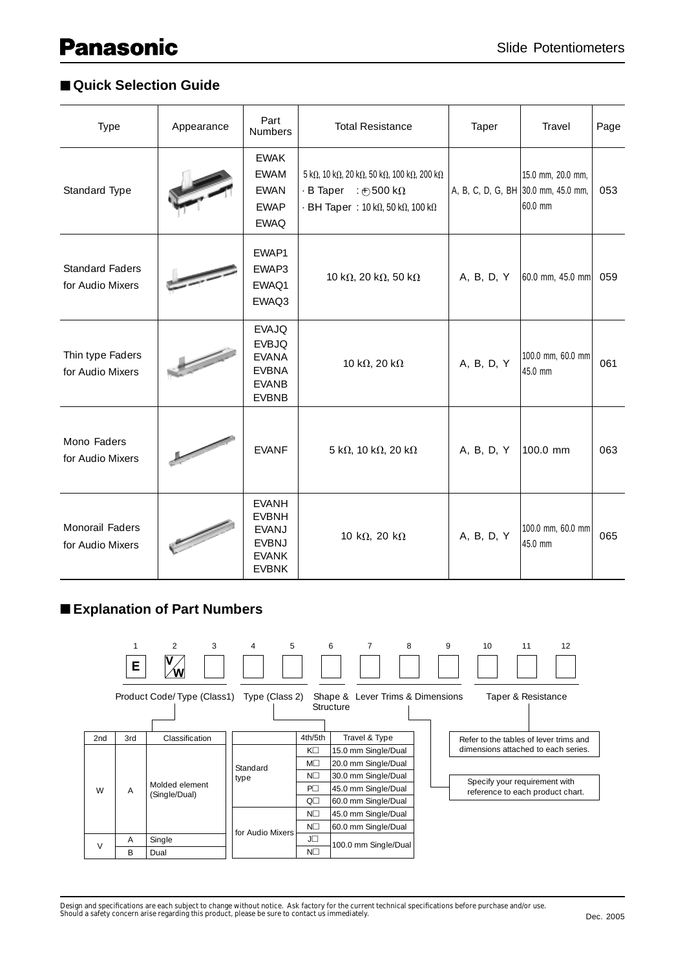## ■ **Quick Selection Guide**

| Type                                       | Appearance | Part<br><b>Numbers</b>                                                                       | <b>Total Resistance</b>                                                                                                                                                                                           | Taper                               | Travel                       | Page |
|--------------------------------------------|------------|----------------------------------------------------------------------------------------------|-------------------------------------------------------------------------------------------------------------------------------------------------------------------------------------------------------------------|-------------------------------------|------------------------------|------|
| Standard Type                              |            | <b>EWAK</b><br><b>EWAM</b><br><b>EWAN</b><br><b>EWAP</b><br><b>EWAQ</b>                      | $5 \text{ k}\Omega$ , 10 k $\Omega$ , 20 k $\Omega$ , 50 k $\Omega$ , 100 k $\Omega$ , 200 k $\Omega$<br>$\cdot$ B Taper : $\oplus$ 500 k $\Omega$<br>$-BH$ Taper: 10 k $\Omega$ , 50 k $\Omega$ , 100 k $\Omega$ | A, B, C, D, G, BH 30.0 mm, 45.0 mm, | 15.0 mm, 20.0 mm,<br>60.0 mm | 053  |
| <b>Standard Faders</b><br>for Audio Mixers |            | EWAP1<br>EWAP3<br>EWAQ1<br>EWAQ3                                                             | 10 k $\Omega$ , 20 k $\Omega$ , 50 k $\Omega$                                                                                                                                                                     | A, B, D, Y                          | 60.0 mm, 45.0 mm             | 059  |
| Thin type Faders<br>for Audio Mixers       |            | <b>EVAJQ</b><br><b>EVBJQ</b><br><b>EVANA</b><br><b>EVBNA</b><br><b>EVANB</b><br><b>EVBNB</b> | 10 k $\Omega$ , 20 k $\Omega$                                                                                                                                                                                     | A, B, D, Y                          | 100.0 mm, 60.0 mm<br>45.0 mm | 061  |
| Mono Faders<br>for Audio Mixers            |            | <b>EVANF</b>                                                                                 | $5 \text{ k}\Omega$ , 10 k $\Omega$ , 20 k $\Omega$                                                                                                                                                               | A, B, D, Y                          | 100.0 mm                     | 063  |
| Monorail Faders<br>for Audio Mixers        |            | <b>EVANH</b><br><b>EVBNH</b><br><b>EVANJ</b><br>EVBNJ<br><b>EVANK</b><br><b>EVBNK</b>        | 10 k $\Omega$ , 20 k $\Omega$                                                                                                                                                                                     | A, B, D, Y                          | 100.0 mm, 60.0 mm<br>45.0 mm | 065  |

## ■ **Explanation of Part Numbers**

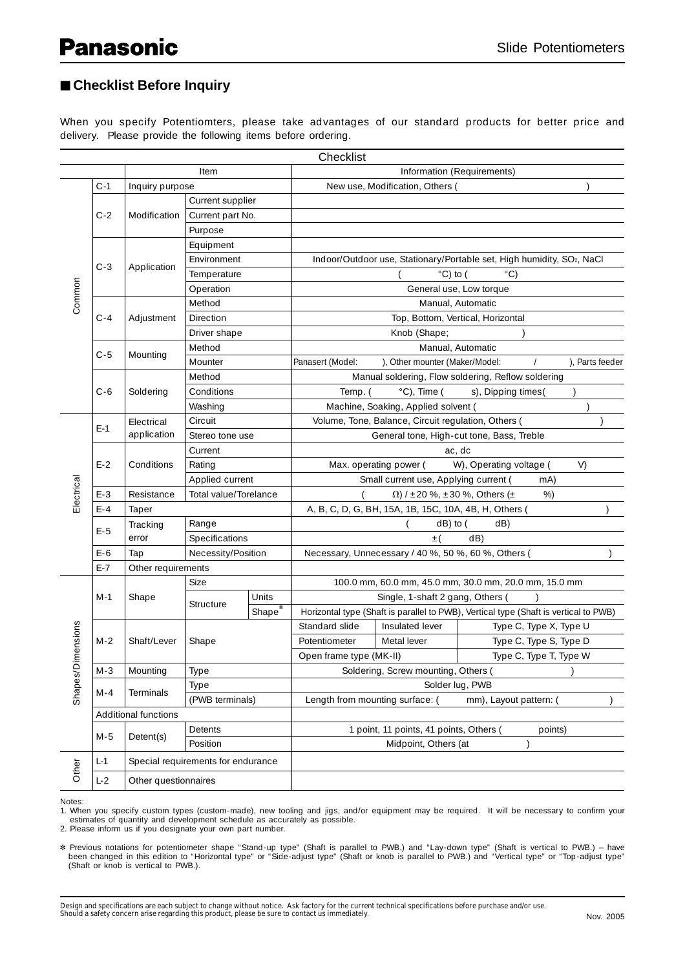## ■ Checklist Before Inquiry

When you specify Potentiomters, please take advantages of our standard products for better price and delivery. Please provide the following items before ordering.

| Checklist         |                                  |                    |                                    |                   |                                                                       |                                                       |                                           |                        |                                                                                      |  |
|-------------------|----------------------------------|--------------------|------------------------------------|-------------------|-----------------------------------------------------------------------|-------------------------------------------------------|-------------------------------------------|------------------------|--------------------------------------------------------------------------------------|--|
|                   |                                  | Item               |                                    |                   | Information (Requirements)                                            |                                                       |                                           |                        |                                                                                      |  |
|                   | $C-1$                            | Inquiry purpose    |                                    |                   |                                                                       | New use, Modification, Others (                       |                                           |                        |                                                                                      |  |
|                   |                                  |                    | Current supplier                   |                   |                                                                       |                                                       |                                           |                        |                                                                                      |  |
|                   | $C-2$                            | Modification       | Current part No.                   |                   |                                                                       |                                                       |                                           |                        |                                                                                      |  |
|                   |                                  |                    | Purpose                            |                   |                                                                       |                                                       |                                           |                        |                                                                                      |  |
|                   |                                  |                    | Equipment                          |                   |                                                                       |                                                       |                                           |                        |                                                                                      |  |
|                   | $C-3$                            |                    | Environment                        |                   | Indoor/Outdoor use, Stationary/Portable set, High humidity, SO2, NaCl |                                                       |                                           |                        |                                                                                      |  |
|                   |                                  | Application        | Temperature                        |                   | $^{\circ}$ C) to (<br>$^{\circ}$ C)                                   |                                                       |                                           |                        |                                                                                      |  |
| Common            |                                  |                    | Operation                          |                   |                                                                       |                                                       | General use, Low torque                   |                        |                                                                                      |  |
|                   |                                  |                    | Method                             |                   | Manual, Automatic                                                     |                                                       |                                           |                        |                                                                                      |  |
|                   | $C - 4$                          | Adjustment         | Direction                          |                   |                                                                       |                                                       | Top, Bottom, Vertical, Horizontal         |                        |                                                                                      |  |
|                   |                                  |                    | Driver shape                       |                   |                                                                       | Knob (Shape;                                          |                                           |                        |                                                                                      |  |
|                   | $C-5$                            | Mounting           | Method                             | Manual, Automatic |                                                                       |                                                       |                                           |                        |                                                                                      |  |
|                   |                                  |                    | Mounter                            |                   | Panasert (Model:                                                      | ), Other mounter (Maker/Model:                        |                                           | ), Parts feeder        |                                                                                      |  |
|                   |                                  |                    | Method                             |                   | Manual soldering, Flow soldering, Reflow soldering                    |                                                       |                                           |                        |                                                                                      |  |
|                   | $C - 6$                          | Soldering          | Conditions                         |                   | Temp. (                                                               | $°C)$ , Time (                                        | s), Dipping times(                        |                        |                                                                                      |  |
|                   |                                  |                    | Washing                            |                   |                                                                       | Machine, Soaking, Applied solvent (                   |                                           |                        |                                                                                      |  |
|                   | $E-1$                            | Electrical         | Circuit                            |                   | Volume, Tone, Balance, Circuit regulation, Others (                   |                                                       |                                           |                        |                                                                                      |  |
|                   |                                  | application        | Stereo tone use                    |                   |                                                                       |                                                       | General tone, High-cut tone, Bass, Treble |                        |                                                                                      |  |
|                   |                                  |                    | Current                            |                   | ac, dc                                                                |                                                       |                                           |                        |                                                                                      |  |
|                   | $E-2$                            | Conditions         | Rating                             |                   | Max. operating power (<br>W), Operating voltage (<br>V)               |                                                       |                                           |                        |                                                                                      |  |
|                   |                                  |                    | Applied current                    |                   |                                                                       | Small current use, Applying current (                 |                                           | mA)                    |                                                                                      |  |
| Electrical        | $E-3$                            | Resistance         | Total value/Torelance              |                   | $\left($<br>$\Omega$ ) / ±20 %, ±30 %, Others (±<br>%                 |                                                       |                                           |                        |                                                                                      |  |
|                   | $E - 4$                          | Taper              |                                    |                   |                                                                       | A, B, C, D, G, BH, 15A, 1B, 15C, 10A, 4B, H, Others ( |                                           |                        |                                                                                      |  |
|                   | Tracking<br>$E-5$<br>error       |                    | Range                              |                   |                                                                       | $dB)$ to (                                            | dB)                                       |                        |                                                                                      |  |
|                   |                                  |                    | Specifications                     |                   | dB)<br>$_{\pm}$ (                                                     |                                                       |                                           |                        |                                                                                      |  |
|                   | $E-6$                            | Tap                | Necessity/Position                 |                   |                                                                       | Necessary, Unnecessary / 40 %, 50 %, 60 %, Others (   |                                           |                        |                                                                                      |  |
|                   | $E - 7$                          | Other requirements |                                    |                   |                                                                       |                                                       |                                           |                        |                                                                                      |  |
|                   | $M-1$<br>Shape                   | Size               |                                    |                   |                                                                       | 100.0 mm, 60.0 mm, 45.0 mm, 30.0 mm, 20.0 mm, 15.0 mm |                                           |                        |                                                                                      |  |
|                   |                                  |                    | Units<br>Structure                 |                   | Single, 1-shaft 2 gang, Others (                                      |                                                       |                                           |                        |                                                                                      |  |
|                   |                                  |                    |                                    |                   |                                                                       | $\overline{\mathsf{Shape}}^*$                         |                                           |                        | Horizontal type (Shaft is parallel to PWB), Vertical type (Shaft is vertical to PWB) |  |
|                   |                                  |                    |                                    |                   |                                                                       | Standard slide                                        | Insulated lever                           | Type C, Type X, Type U |                                                                                      |  |
|                   | $M-2$                            | Shaft/Lever        | Shape                              |                   | Potentiometer                                                         | Metal lever                                           | Type C, Type S, Type D                    |                        |                                                                                      |  |
| <b>Dimensions</b> |                                  |                    |                                    |                   | Open frame type (MK-II)                                               |                                                       | Type C, Type T, Type W                    |                        |                                                                                      |  |
|                   | M-3                              | Mounting           | Type                               |                   | Soldering, Screw mounting, Others (                                   |                                                       |                                           |                        |                                                                                      |  |
| Shapes/           | $M - 4$                          | Terminals          | Type                               |                   | Solder lug, PWB                                                       |                                                       |                                           |                        |                                                                                      |  |
|                   |                                  |                    | (PWB terminals)                    |                   | Length from mounting surface: (<br>mm), Layout pattern: (             |                                                       |                                           |                        |                                                                                      |  |
|                   | Additional functions             |                    |                                    |                   |                                                                       |                                                       |                                           |                        |                                                                                      |  |
|                   | $M-5$                            | Detent(s)          | Detents                            |                   | 1 point, 11 points, 41 points, Others (<br>points)                    |                                                       |                                           |                        |                                                                                      |  |
|                   | Midpoint, Others (at<br>Position |                    |                                    |                   |                                                                       |                                                       |                                           |                        |                                                                                      |  |
|                   | L-1                              |                    | Special requirements for endurance |                   |                                                                       |                                                       |                                           |                        |                                                                                      |  |
| Other             | $L-2$<br>Other questionnaires    |                    |                                    |                   |                                                                       |                                                       |                                           |                        |                                                                                      |  |

Notes:

1. When you specify custom types (custom-made), new tooling and jigs, and/or equipment may be required. It will be necessary to confirm your estimates of quantity and development schedule as accurately as possible.

2. Please inform us if you designate your own part number.

✽ Previous notations for potentiometer shape "Stand-up type" (Shaft is parallel to PWB.) and "Lay-down type" (Shaft is vertical to PWB.) – have been changed in this edition to "Horizontal type" or "Side-adjust type" (Shaft or knob is parallel to PWB.) and "Vertical type" or "Top-adjust type" (Shaft or knob is vertical to PWB.).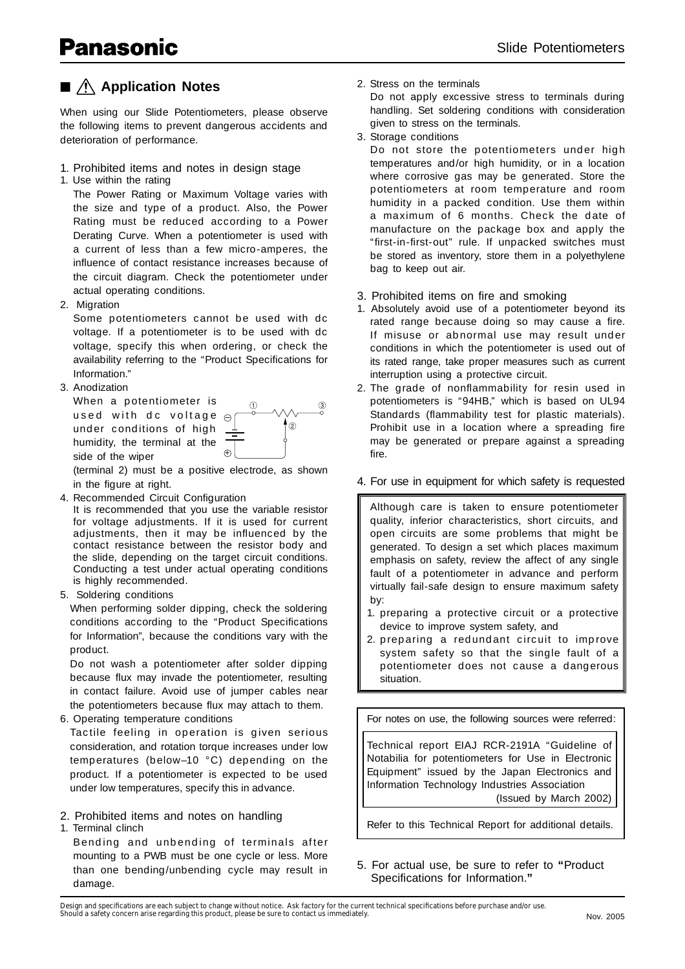## ■ **Application Notes**

When using our Slide Potentiometers, please observe the following items to prevent dangerous accidents and deterioration of performance.

### 1. Prohibited items and notes in design stage

1. Use within the rating

The Power Rating or Maximum Voltage varies with the size and type of a product. Also, the Power Rating must be reduced according to a Power Derating Curve. When a potentiometer is used with a current of less than a few micro-amperes, the influence of contact resistance increases because of the circuit diagram. Check the potentiometer under actual operating conditions.

2. Migration

Some potentiometers cannot be used with dc voltage. If a potentiometer is to be used with dc voltage, specify this when ordering, or check the availability referring to the "Product Specifications for Information."

3. Anodization

– used with dc voltage When a potentiometer is under conditions of high humidity, the terminal at the side of the wiper



(terminal 2) must be a positive electrode, as shown in the figure at right.

4. Recommended Circuit Configuration

It is recommended that you use the variable resistor for voltage adjustments. If it is used for current adjustments, then it may be influenced by the contact resistance between the resistor body and the slide, depending on the target circuit conditions. Conducting a test under actual operating conditions is highly recommended.

5. Soldering conditions

When performing solder dipping, check the soldering conditions according to the "Product Specifications" for Information", because the conditions vary with the product.

Do not wash a potentiometer after solder dipping because flux may invade the potentiometer, resulting in contact failure. Avoid use of jumper cables near the potentiometers because flux may attach to them.

6. Operating temperature conditions

Tactile feeling in operation is given serious consideration, and rotation torque increases under low temperatures (below–10 °C) depending on the product. If a potentiometer is expected to be used under low temperatures, specify this in advance.

## 2. Prohibited items and notes on handling

1. Terminal clinch

Bending and unbending of terminals after mounting to a PWB must be one cycle or less. More than one bending/unbending cycle may result in damage.

2. Stress on the terminals

Do not apply excessive stress to terminals during handling. Set soldering conditions with consideration given to stress on the terminals.

3. Storage conditions

Do not store the potentiometers under high temperatures and/or high humidity, or in a location where corrosive gas may be generated. Store the potentiometers at room temperature and room humidity in a packed condition. Use them within a maximum of 6 months. Check the date of manufacture on the package box and apply the "first-in-first-out" rule. If unpacked switches must be stored as inventory, store them in a polyethylene bag to keep out air.

## 3. Prohibited items on fire and smoking

- 1. Absolutely avoid use of a potentiometer beyond its rated range because doing so may cause a fire. If misuse or abnormal use may result under conditions in which the potentiometer is used out of its rated range, take proper measures such as current interruption using a protective circuit.
- 2. The grade of nonflammability for resin used in potentiometers is "94HB," which is based on UL94 Standards (flammability test for plastic materials). Prohibit use in a location where a spreading fire may be generated or prepare against a spreading fire.

### 4. For use in equipment for which safety is requested

Although care is taken to ensure potentiometer quality, inferior characteristics, short circuits, and open circuits are some problems that might be generated. To design a set which places maximum emphasis on safety, review the affect of any single fault of a potentiometer in advance and perform virtually fail-safe design to ensure maximum safety by:

- 1. preparing a protective circuit or a protective device to improve system safety, and
- 2. preparing a redundant circuit to improve system safety so that the single fault of a potentiometer does not cause a dangerous situation.

For notes on use, the following sources were referred:

Technical report EIAJ RCR-2191A "Guideline of Notabilia for potentiometers for Use in Electronic Equipment" issued by the Japan Electronics and Information Technology Industries Association (Issued by March 2002)

Refer to this Technical Report for additional details.

5. For actual use, be sure to refer to **"**Product Specifications for Information."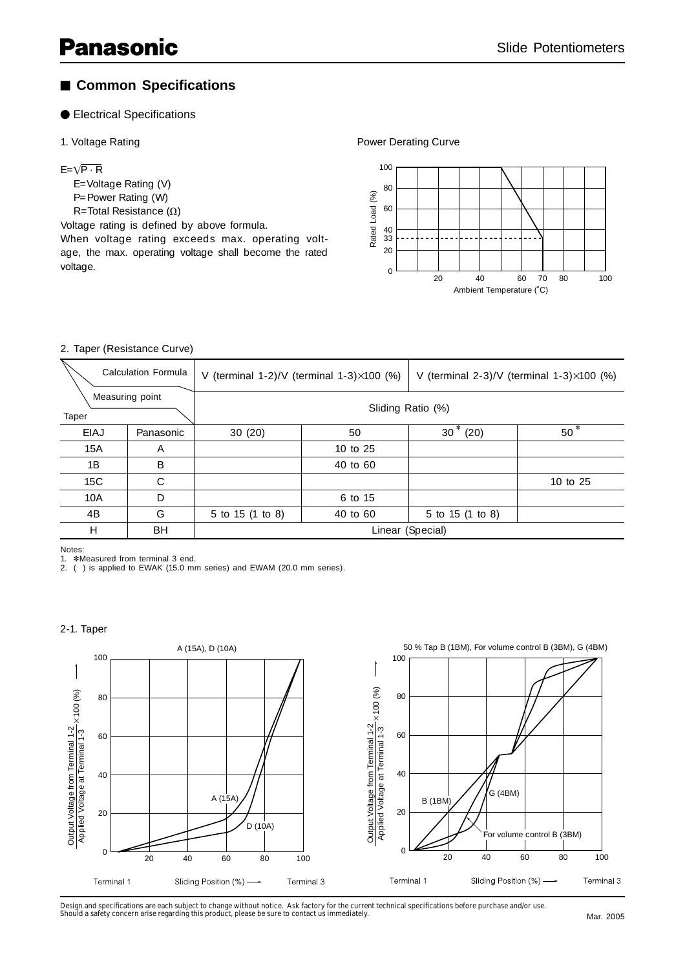# ■ **Common Specifications**

### ● Electrical Specifications

#### 1. Voltage Rating

#### $E = \sqrt{P \cdot R}$

- E=Voltage Rating (V)
- P=Power Rating (W)
- R=Total Resistance  $(\Omega)$

Voltage rating is defined by above formula.

When voltage rating exceeds max. operating voltage, the max. operating voltage shall become the rated voltage.

Power Derating Curve



#### 2. Taper (Resistance Curve)

| <b>Calculation Formula</b> |           |                   | V (terminal 1-2)/V (terminal 1-3) $\times$ 100 (%) | V (terminal $2-3$ )/V (terminal $1-3$ ) $\times$ 100 (%) |          |  |
|----------------------------|-----------|-------------------|----------------------------------------------------|----------------------------------------------------------|----------|--|
| Measuring point<br>Taper   |           | Sliding Ratio (%) |                                                    |                                                          |          |  |
| EIAJ                       | Panasonic | 30(20)            | 50                                                 | $30*(20)$                                                | $50*$    |  |
| 15A                        | A         |                   | 10 to 25                                           |                                                          |          |  |
| 1B                         | B         |                   | 40 to 60                                           |                                                          |          |  |
| 15C                        | C         |                   |                                                    |                                                          | 10 to 25 |  |
| 10A                        | D         |                   | 6 to 15                                            |                                                          |          |  |
| 4B                         | G         | 5 to 15 (1 to 8)  | 40 to 60                                           | 5 to 15 (1 to 8)                                         |          |  |
| H                          | BH        | Linear (Special)  |                                                    |                                                          |          |  |

Notes:

1. **\*Measured from terminal 3 end.** 

2. ( ) is applied to EWAK (15.0 mm series) and EWAM (20.0 mm series).

#### 2-1. Taper



Design and specifications are each subject to change without notice. Ask factory for the current technical specifications before purchase and/or use.<br>Should a safety concern arise regarding this product, please be sure to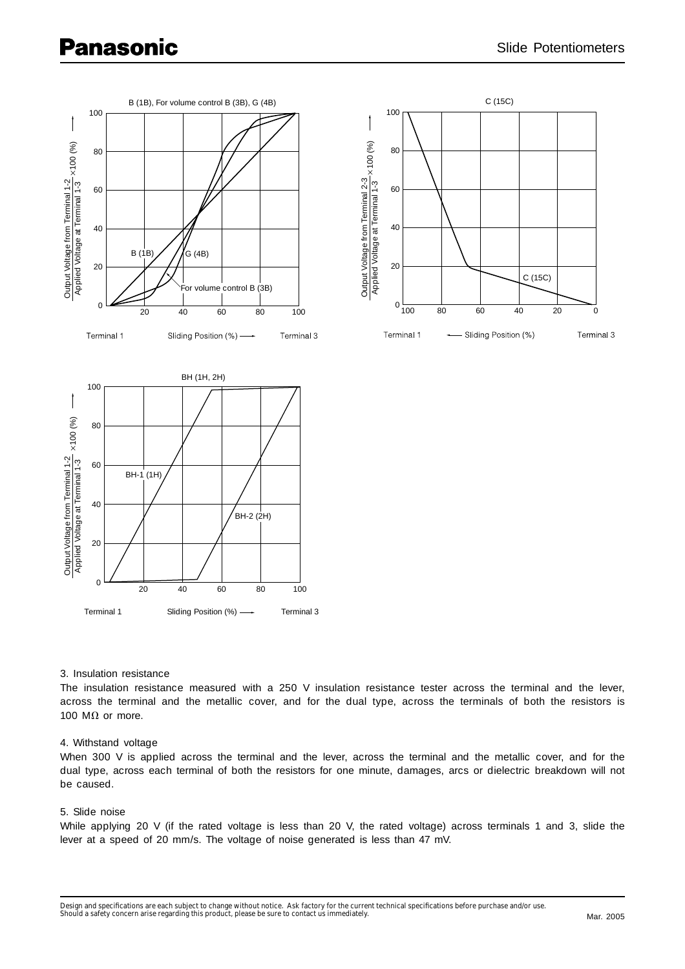

Terminal 1 Sliding Position (%) -- Terminal 3

20 40 60 80 100

#### 3. Insulation resistance

The insulation resistance measured with a 250 V insulation resistance tester across the terminal and the lever, across the terminal and the metallic cover, and for the dual type, across the terminals of both the resistors is 100 M $\Omega$  or more.

#### 4. Withstand voltage

When 300 V is applied across the terminal and the lever, across the terminal and the metallic cover, and for the dual type, across each terminal of both the resistors for one minute, damages, arcs or dielectric breakdown will not be caused.

#### 5. Slide noise

While applying 20 V (if the rated voltage is less than 20 V, the rated voltage) across terminals 1 and 3, slide the lever at a speed of 20 mm/s. The voltage of noise generated is less than 47 mV.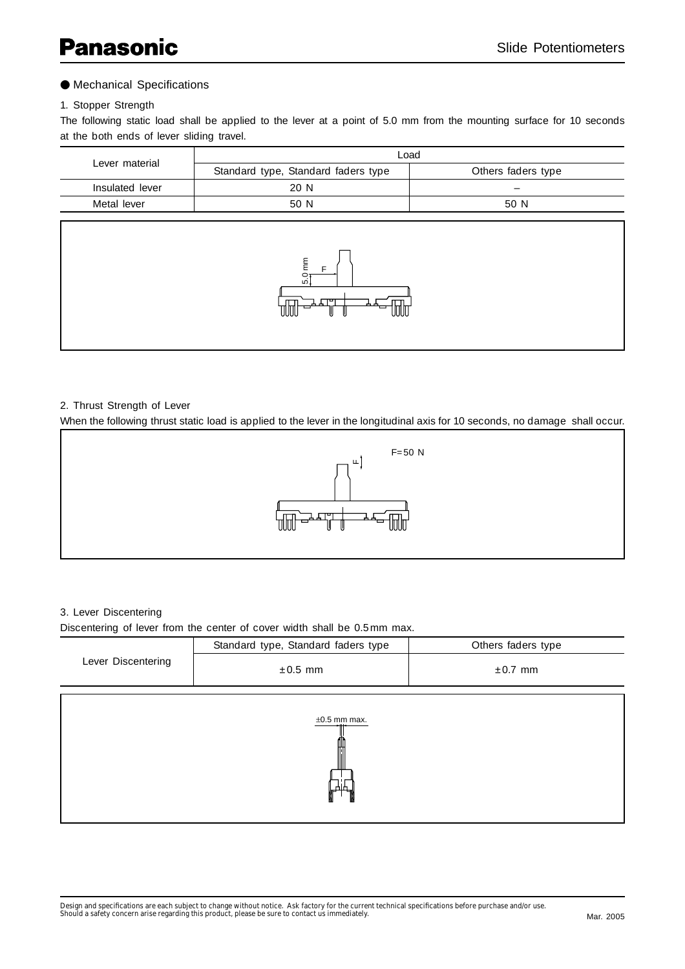### ● Mechanical Specifications

#### 1. Stopper Strength

The following static load shall be applied to the lever at a point of 5.0 mm from the mounting surface for 10 seconds at the both ends of lever sliding travel.

|                                                                                               | Load                                |                    |  |  |  |
|-----------------------------------------------------------------------------------------------|-------------------------------------|--------------------|--|--|--|
| Lever material                                                                                | Standard type, Standard faders type | Others faders type |  |  |  |
| Insulated lever                                                                               | 20 N                                |                    |  |  |  |
| Metal lever                                                                                   | 50 N<br>50 N                        |                    |  |  |  |
| 5.0 mm<br>ᆂᄓᅩᄀ<br>$\text{Tr}\left(\mathbf{r}\right) = \mathbf{r} \times \mathbf{r}$<br>▭<br>W |                                     |                    |  |  |  |

#### 2. Thrust Strength of Lever

When the following thrust static load is applied to the lever in the longitudinal axis for 10 seconds, no damage shall occur.



#### 3. Lever Discentering

Discentering of lever from the center of cover width shall be 0.5 mm max.

|                        | Standard type, Standard faders type | Others faders type |  |  |  |
|------------------------|-------------------------------------|--------------------|--|--|--|
| Lever Discentering     | $\pm 0.5$ mm                        | $\pm 0.7$ mm       |  |  |  |
| $±0.5$ mm max.<br>ൃ႕⊣႕ |                                     |                    |  |  |  |